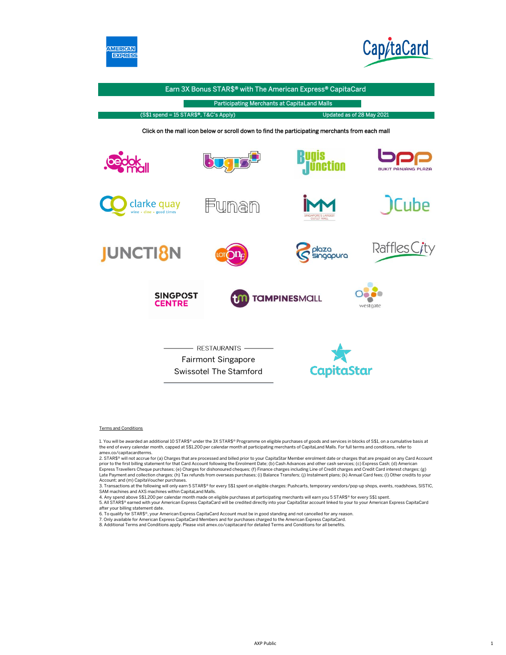



Earn 3X Bonus STAR\$® with The American Express® CapitaCard Participating Merchants at CapitaLand Malls (S\$1 spend = 15 STAR\$®, T&C's Apply) Updated as of 28 May 2021 Click on the mall icon below or scroll down to find the participating merchants from each mall RUAIS **Unction PANJANG PLAZA** Cube clarke quay Funan Raffles City **JUNCTI<sub>8</sub>N** laza ingapura **SINGPOST TAMPINESMALL CENTRE** westgate - RESTAURANTS -Fairmont Singapore CapitaStar Swissotel The Stamford

### Terms and Conditions

1. You will be awarded an additional 10 STAR\$® under the 3X STAR\$® Programme on eligible purchases of goods and services in blocks of S\$1, on a cumulative basis at the end of every calendar month, capped at S\$1,200 per calendar month at participating merchants of CapitaLand Malls. For full terms and conditions, refer to amex.co/capitacardterms.

2. STAR\$® will not accrue for (a) Charges that are processed and billed prior to your CapitaStar Member enrolment date or charges that are prepaid on any Card Account prior to the first billing statement for that Card Account following the Enrolment Date; (b) Cash Advances and other cash services; (c) Express Cash; (d) American Express Travellers Cheque purchases; (e) Charges for dishonoured cheques; (f) Finance charges including Line of Credit charges and Credit Card interest charges; (g) Late Payment and collection charges; (h) Tax refunds from overseas purchases; (i) Balance Transfers; (j) Instalment plans; (k) Annual Card fees; (l) Other credits to your<br>Account; and (m) CapitaVoucher purchases.

3. Transactions at the following will only earn 5 STAR\$® for every S\$1 spent on eligible charges: Pushcarts, temporary vendors/pop-up shops, events, roadshows, SISTIC,<br>SAM machines and AXS machines within CapitaLand Malls.

4. Any spend above S\$1,200 per calendar month made on eligible purchases at participating merchants will earn you 5 STAR\$® for every S\$1 spent. 5. All STAR\$® earned with your American Express CapitaCard will be credited directly into your CapitaStar account linked to your to your American Express CapitaCard after your billing statement date.

6. To qualify for STAR\$®, your American Express CapitaCard Account must be in good standing and not cancelled for any reason.

7. Only available for American Express CapitaCard Members and for purchases charged to the American Express CapitaCard.

8. Additional Terms and Conditions apply. Please visit amex.co/capitacard for detailed Terms and Conditions for all benefits.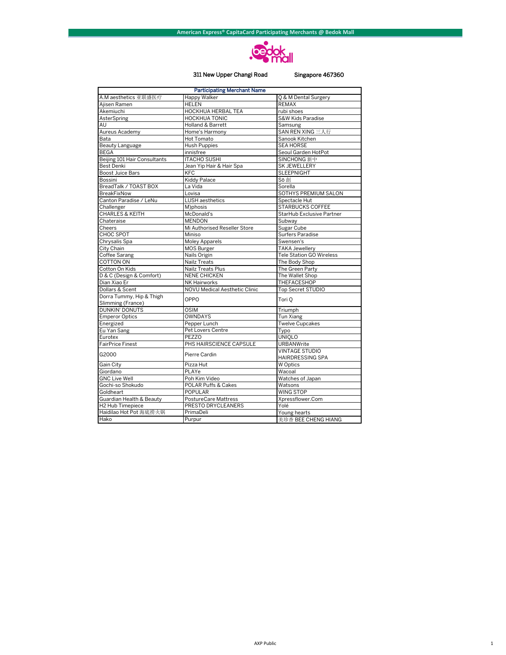

### 311 New Upper Changi Road

## Singapore 467360

| <b>Participating Merchant Name</b>            |                                      |                                                  |  |
|-----------------------------------------------|--------------------------------------|--------------------------------------------------|--|
| A.M aesthetics 亚联盛医疗                          | Happy Walker<br>Q & M Dental Surgery |                                                  |  |
| Aiisen Ramen                                  | <b>HELEN</b>                         | <b>REMAX</b>                                     |  |
| Akemiuchi                                     | <b>HOCKHUA HERBAL TEA</b>            | rubi shoes                                       |  |
| AsterSpring                                   | <b>HOCKHUA TONIC</b>                 | S&W Kids Paradise                                |  |
| AU                                            | <b>Holland &amp; Barrett</b>         | Samsung                                          |  |
| Aureus Academy                                | Home's Harmony                       | SAN REN XING 三人行                                 |  |
| Bata                                          | Hot Tomato                           | Sanook Kitchen                                   |  |
| Beauty Language                               | <b>Hush Puppies</b>                  | <b>SEA HORSE</b>                                 |  |
| <b>BEGA</b>                                   | innisfree                            | Seoul Garden HotPot                              |  |
| Beijing 101 Hair Consultants                  | <b>ITACHO SUSHI</b>                  | SINCHONG 新中                                      |  |
| <b>Best Denki</b>                             | Jean Yip Hair & Hair Spa             | <b>SK JEWELLERY</b>                              |  |
| <b>Boost Juice Bars</b>                       | <b>KFC</b>                           | <b>SLEEPNIGHT</b>                                |  |
| Bossini                                       | <b>Kiddy Palace</b>                  | Sō 創                                             |  |
| BreadTalk / TOAST BOX                         | La Vida                              | Sorella                                          |  |
| <b>BreakFixNow</b>                            | Lovisa                               | SOTHYS PREMIUM SALON                             |  |
| Canton Paradise / LeNu                        | <b>LUSH</b> aesthetics               | Spectacle Hut                                    |  |
| Challenger                                    | M)phosis                             | STARBUCKS COFFEE                                 |  |
| <b>CHARLES &amp; KEITH</b>                    | McDonald's                           | StarHub Exclusive Partner                        |  |
| Chateraise                                    | <b>MENDON</b>                        | Subway                                           |  |
| Cheers                                        | Mi Authorised Reseller Store         | Sugar Cube                                       |  |
| CHOC SPOT                                     | Miniso                               | Surfers Paradise                                 |  |
| Chrysalis Spa                                 | <b>Moley Apparels</b>                | Swensen's                                        |  |
| City Chain                                    | <b>MOS Burger</b>                    | <b>TAKA Jewellery</b>                            |  |
| Coffee Sarang                                 | Nails Origin                         | <b>Tele Station GO Wireless</b>                  |  |
| <b>COTTON ON</b>                              | Nailz Treats                         | The Body Shop                                    |  |
| Cotton On Kids                                | Nailz Treats Plus                    | The Green Party                                  |  |
| D & C (Design & Comfort)                      | <b>NENE CHICKEN</b>                  | The Wallet Shop                                  |  |
| Dian Xiao Er                                  | <b>NK Hairworks</b>                  | THEFACESHOP                                      |  |
| Dollars & Scent                               | NOVU Medical Aesthetic Clinic        | Top Secret STUDIO                                |  |
| Dorra Tummy, Hip & Thigh<br>Slimming (France) | OPPO                                 | Tori O                                           |  |
| <b>DUNKIN' DONUTS</b>                         | <b>OSIM</b>                          | Triumph                                          |  |
| <b>Emperor Optics</b>                         | <b>OWNDAYS</b>                       | Tun Xiang                                        |  |
| Energized                                     | Pepper Lunch                         | <b>Twelve Cupcakes</b>                           |  |
| Eu Yan Sang                                   | Pet Lovers Centre                    | Typo                                             |  |
| Eurotex                                       | PEZZO                                | <b>UNIQLO</b>                                    |  |
| <b>FairPrice Finest</b>                       | PHS HAIRSCIENCE CAPSULE              | <b>URBANWrite</b>                                |  |
| G2000                                         | Pierre Cardin                        | <b>VINTAGE STUDIO</b><br><b>HAIRDRESSING SPA</b> |  |
| Gain City                                     | Pizza Hut                            | W Optics                                         |  |
| Giordano                                      | PLAYe                                | Wacoal                                           |  |
| <b>GNC Live Well</b>                          | Poh Kim Video                        | Watches of Japan                                 |  |
| Gochi-so Shokudo                              | POLAR Puffs & Cakes                  | Watsons                                          |  |
| Goldheart                                     | <b>POPULAR</b>                       | WING STOP                                        |  |
| Guardian Health & Beauty                      | <b>PostureCare Mattress</b>          | Xpressflower.Com                                 |  |
| H <sub>2</sub> Hub Timepiece                  | PRESTO DRYCLEANERS                   | Yolé                                             |  |
| Haidilao Hot Pot 海底捞火锅                        | PrimaDeli                            | Young hearts                                     |  |
| Hako                                          | Purpur                               | 美珍香 BEE CHENG HIANG                              |  |
|                                               |                                      |                                                  |  |

 $\,$  1  $\,$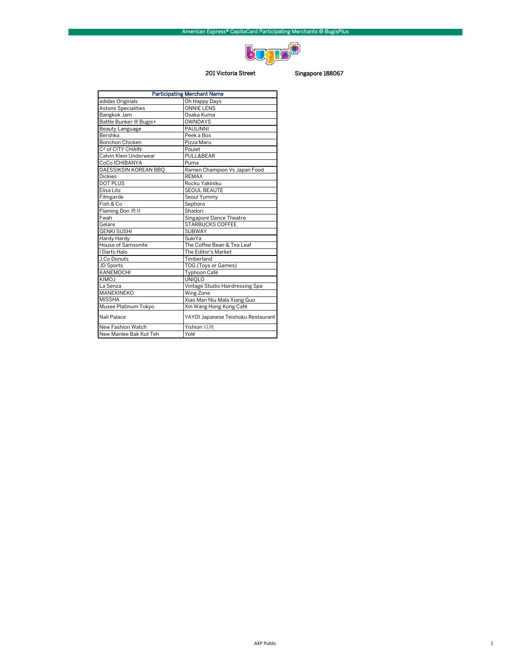

## 201 Victoria Street Singapore 188067

| <b>Participating Merchant Name</b> |                                    |  |
|------------------------------------|------------------------------------|--|
| adidas Originals                   | Oh Happy Days                      |  |
| <b>Astons Specialities</b>         | <b>ONNIE LENS</b>                  |  |
| Bangkok Jam                        | Osaka Kuma                         |  |
| Battle Bunker @ Bugis+             | <b>OWNDAYS</b>                     |  |
| Beauty Language                    | <b>PAULINNI</b>                    |  |
| Bershka                            | Peek a Box                         |  |
| <b>Bonchon Chicken</b>             | Pizza Maru                         |  |
| C <sup>2</sup> of CITY CHAIN       | Poulet                             |  |
| Calvin Klein Underwear             | PULL&BEAR                          |  |
| CoCo ICHIBANYA                     | Puma                               |  |
| DAESSIKSIN KOREAN BBO              | Ramen Champion Vs Japan Food       |  |
| <b>Dickies</b>                     | <b>REMAX</b>                       |  |
| <b>DOT PLUS</b>                    | Rocku Yakiniku                     |  |
| Elisa Litz                         | <b>SEOUL BEAUTE</b>                |  |
| Filmgarde                          | Seoul Yummy                        |  |
| Fish & Co                          | Sephora                            |  |
| Flaming Don 烤丼                     | Shadori                            |  |
| Fwah                               | Singapore Dance Theatre            |  |
| Gelare                             | <b>STARBUCKS COFFEE</b>            |  |
| <b>GENKI SUSHI</b>                 | <b>SUBWAY</b>                      |  |
| Hardy Hardy                        | SukiYa                             |  |
| House of Samsonite                 | The Coffee Bean & Tea Leaf         |  |
| I Darts Halo                       | The Editor's Market                |  |
| J.Co Donuts                        | Timberland                         |  |
| JD Sports                          | TOG (Toys or Games)                |  |
| KANEMOCHI                          | Typhoon Café                       |  |
| <b>KIMOJ</b>                       | <b>UNIOLO</b>                      |  |
| La Senza                           | Vintage Studio Hairdressing Spa    |  |
| MANEKINEKO                         | Wing Zone                          |  |
| <b>MISSHA</b>                      | Xiao Man Niu Mala Xiang Guo        |  |
| Musee Platinum Tokyo               | Xin Wang Hong Kong Café            |  |
| Nail Palace                        | YAYOI Japanese Teishoku Restaurant |  |
| New Fashion Watch                  | Yishion 以纯                         |  |
| New Manlee Bak Kut Teh             | Yolé                               |  |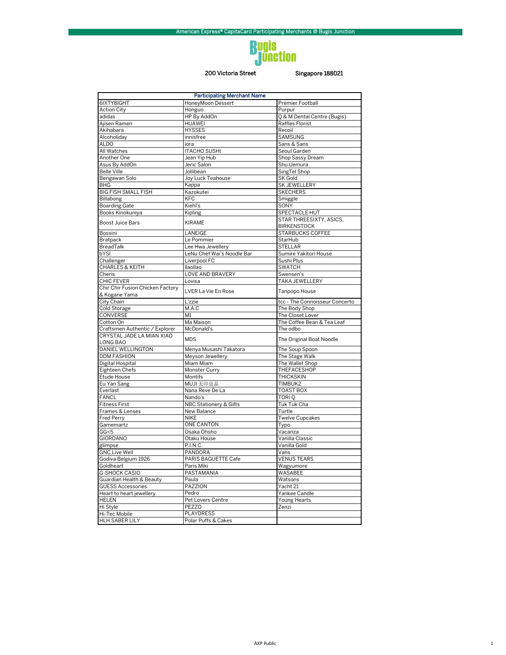# **Bugis<br>Junction**

## 200 Victoria Street

## Singapore 188021

| <b>Participating Merchant Name</b>                |                            |                                               |  |
|---------------------------------------------------|----------------------------|-----------------------------------------------|--|
| 6IXTY8IGHT                                        | HoneyMoon Dessert          | Premier Football                              |  |
| <b>Action City</b>                                | Honguo                     | Purpur                                        |  |
| adidas                                            | HP By AddOn                | Q & M Dental Centre (Bugis)                   |  |
| Ajisen Ramen                                      | <b>HUAWEI</b>              | Raffles Florist                               |  |
| Akihabara                                         | <b>HYSSES</b>              | Recoil                                        |  |
| Alcoholiday                                       | innisfree                  | <b>SAMSUNG</b>                                |  |
| <b>ALDO</b>                                       | iora                       | Sans & Sans                                   |  |
| All Watches                                       | <b>ITACHO SUSHI</b>        | Seoul Garden                                  |  |
| Another One                                       | Jean Yip Hub               | Shop Sassy Dream                              |  |
| Asus By AddOn                                     | Jeric Salon                | Shu Uemura                                    |  |
| <b>Belle Ville</b>                                | Jollibean                  | SingTel Shop                                  |  |
| Bengawan Solo                                     | Joy Luck Teahouse          | <b>SK Gold</b>                                |  |
| <b>BHG</b>                                        | Kappa                      | SK JEWELLERY                                  |  |
| <b>BIG FISH SMALL FISH</b>                        | Kazokutei                  | <b>SKECHERS</b>                               |  |
| Billabong                                         | <b>KFC</b>                 | Smiggle                                       |  |
| <b>Boarding Gate</b>                              | Kiehl's                    | SONY                                          |  |
| Books Kinokuniya                                  | Kipling                    | SPECTACLE HUT                                 |  |
| <b>Boost Juice Bars</b>                           | <b>KIRAME</b>              | STAR THREESIXTY, ASICS,<br><b>BIRKENSTOCK</b> |  |
| Bossini                                           | LANEIGE                    | <b>STARBUCKS COFFEE</b>                       |  |
| Bratpack                                          | Le Pommier                 | StarHub                                       |  |
| BreadTalk                                         | Lee Hwa Jewellery          | <b>STELLAR</b>                                |  |
| bYSI                                              | LeNu Chef Wai's Noodle Bar | Sumire Yakitori House                         |  |
| Challenger                                        | Liverpool FC               | Sushi Plus                                    |  |
| <b>CHARLES &amp; KEITH</b>                        | llaollao                   | <b>SWATCH</b>                                 |  |
| Cheris                                            | LOVE AND BRAVERY           | Swensen's                                     |  |
| <b>CHIC FEVER</b>                                 | Lovisa                     | TAKA JEWELLERY                                |  |
| Chir Chir Fusion Chicken Factory<br>& Kogane Yama | LVER La Vie En Rose        | Tanpopo House                                 |  |
| City Chain                                        | L'zzie                     | tcc - The Connoisseur Concerto                |  |
| Cold Storage                                      | M.A.C                      | The Body Shop                                 |  |
| CONVERSE                                          | M1                         | The Closet Lover                              |  |
| Cotton On                                         | Ma Maison                  | The Coffee Bean & Tea Leaf                    |  |
| Craftsmen Authentic / Explorer                    | McDonald's                 | The odbo                                      |  |
| CRYSTAL JADE LA MIAN XIAO                         |                            |                                               |  |
| LONG BAO                                          | <b>MDS</b>                 | The Original Boat Noodle                      |  |
| DANIEL WELLINGTON                                 | Menya Musashi Takatora     | The Soup Spoon                                |  |
| <b>DDM FASHION</b>                                | Meyson Jewellery           | The Stage Walk                                |  |
| Digital Hospital                                  | Miam Miam                  | The Wallet Shop                               |  |
| Eighteen Chefs                                    | Monster Curry              | THEFACESHOP                                   |  |
| Etude House                                       | Montifs                    | <b>THICKSKIN</b>                              |  |
| Eu Yan Sang                                       | MUJI 无印良品                  | TIMBUK2                                       |  |
| Everlast                                          | Nana Reve De La            | <b>TOAST BOX</b>                              |  |
| <b>FANCL</b>                                      | Nando's                    | TORI Q                                        |  |
| Fitness First                                     | NBC Stationery & Gifts     | Tuk Tuk Cha                                   |  |
| Frames & Lenses                                   | New Balance                | Turtle                                        |  |
| Fred Perry                                        | <b>NIKE</b>                | <b>Twelve Cupcakes</b>                        |  |
| Gamemartz                                         | <b>ONE CANTON</b>          | Typo                                          |  |
| GG<5                                              | Osaka Ohsho                | Vacanza                                       |  |
| <b>GIORDANO</b>                                   | Otaku House                | Vanilla Classic                               |  |
| glimpse                                           | P.I.N.C.                   | Vanilla Gold                                  |  |
| <b>GNC Live Well</b>                              | PANDORA                    | Vans                                          |  |
| Godiva Belgium 1926                               | PARIS BAGUETTE Cafe        | <b>VENUS TEARS</b>                            |  |
| Goldheart                                         | Paris Miki                 | Wagyumore                                     |  |
| G-SHOCK CASIO                                     | PASTAMANIA                 | WASABEE                                       |  |
| Guardian Health & Beauty                          | Paula                      | Watsons                                       |  |
| <b>GUESS Accessories</b>                          | PAZZION                    | Yacht 21                                      |  |
| Heart to heart jewellery                          | Pedro                      | Yankee Candle                                 |  |
| <b>HELEN</b>                                      | Pet Lovers Centre          | Young Hearts                                  |  |
| Hi Style                                          | <b>PEZZO</b>               | Zenzi                                         |  |
| Hi-Tec Mobile                                     | <b>PLAYDRESS</b>           |                                               |  |
| <b>HLH SABER LILY</b>                             | Polar Puffs & Cakes        |                                               |  |
|                                                   |                            |                                               |  |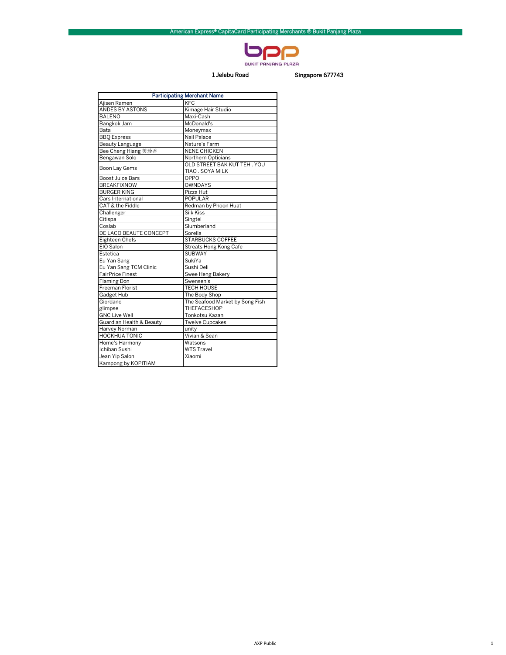

## 1 Jelebu Road Singapore 677743

| <b>Participating Merchant Name</b> |                                 |  |  |
|------------------------------------|---------------------------------|--|--|
| Ajisen Ramen                       | <b>KFC</b>                      |  |  |
| ANDES BY ASTONS                    | Kimage Hair Studio              |  |  |
| <b>BALENO</b>                      | Maxi-Cash                       |  |  |
| Bangkok Jam                        | McDonald's                      |  |  |
| Bata                               | Moneymax                        |  |  |
| <b>BBQ Express</b>                 | Nail Palace                     |  |  |
| Beauty Language                    | Nature's Farm                   |  |  |
| Bee Cheng Hiang 美珍香                | <b>NENE CHICKEN</b>             |  |  |
| Bengawan Solo                      | Northern Opticians              |  |  |
| Boon Lay Gems                      | OLD STREET BAK KUT TEH. YOU     |  |  |
|                                    | TIAO . SOYA MILK                |  |  |
| <b>Boost Juice Bars</b>            | OPPO                            |  |  |
| <b>BREAKFIXNOW</b>                 | OWNDAYS                         |  |  |
| <b>BURGER KING</b>                 | Pizza Hut                       |  |  |
| Cars International                 | <b>POPULAR</b>                  |  |  |
| CAT & the Fiddle                   | Redman by Phoon Huat            |  |  |
| Challenger                         | <b>Silk Kiss</b>                |  |  |
| Citispa                            | Singtel                         |  |  |
| Coslab                             | Slumberland                     |  |  |
| DE LACO BEAUTE CONCEPT             | Sorella                         |  |  |
| <b>Eighteen Chefs</b>              | <b>STARBUCKS COFFEE</b>         |  |  |
| EIO Salon                          | Streats Hong Kong Cafe          |  |  |
| Estetica                           | <b>SUBWAY</b>                   |  |  |
| Eu Yan Sang                        | SukiYa                          |  |  |
| Eu Yan Sang TCM Clinic             | Sushi Deli                      |  |  |
| <b>FairPrice Finest</b>            | Swee Heng Bakery                |  |  |
| <b>Flaming Don</b>                 | Swensen's                       |  |  |
| Freeman Florist                    | <b>TECH HOUSE</b>               |  |  |
| Gadget Hub                         | The Body Shop                   |  |  |
| Giordano                           | The Seafood Market by Song Fish |  |  |
| glimpse                            | <b>THEFACESHOP</b>              |  |  |
| <b>GNC Live Well</b>               | Tonkotsu Kazan                  |  |  |
| Guardian Health & Beauty           | <b>Twelve Cupcakes</b>          |  |  |
| Harvey Norman                      | unity                           |  |  |
| <b>HOCKHUA TONIC</b>               | Vivian & Sean                   |  |  |
| Home's Harmony                     | Watsons                         |  |  |
| Ichiban Sushi                      | <b>WTS Travel</b>               |  |  |
| Jean Yip Salon                     | Xiaomi                          |  |  |
| Kampong by KOPITIAM                |                                 |  |  |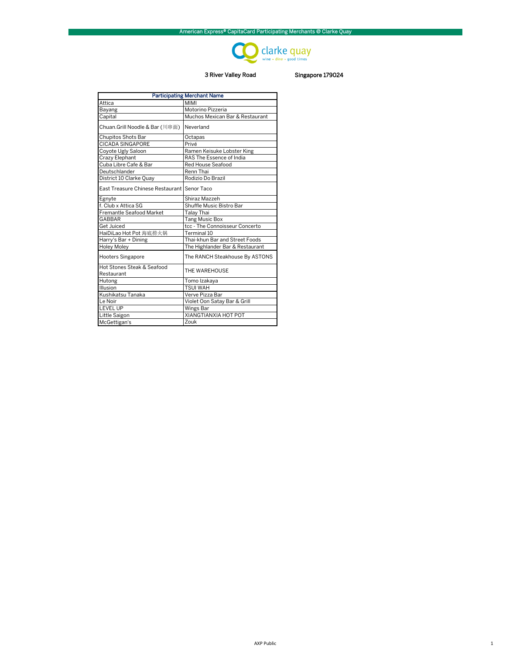

## 3 River Valley Road Singapore 179024

| <b>Participating Merchant Name</b>          |                                 |  |
|---------------------------------------------|---------------------------------|--|
| Attica                                      | <b>MIMI</b>                     |  |
| Bayang                                      | Motorino Pizzeria               |  |
| Capital                                     | Muchos Mexican Bar & Restaurant |  |
| Chuan.Grill Noodle & Bar (川串面)              | Neverland                       |  |
| Chupitos Shots Bar                          | Octapas                         |  |
| <b>CICADA SINGAPORE</b>                     | Privé                           |  |
| Coyote Ugly Saloon                          | Ramen Keisuke Lobster King      |  |
| Crazy Elephant                              | RAS The Essence of India        |  |
| Cuba Libre Cafe & Bar                       | Red House Seafood               |  |
| Deutschlander                               | Renn Thai                       |  |
| District 10 Clarke Quay                     | Rodizio Do Brazil               |  |
| East Treasure Chinese Restaurant Senor Taco |                                 |  |
| Egnyte                                      | Shiraz Mazzeh                   |  |
| f. Club x Attica SG                         | Shuffle Music Bistro Bar        |  |
| Fremantle Seafood Market                    | Talay Thai                      |  |
| GABBAR                                      | <b>Tang Music Box</b>           |  |
| Get Juiced                                  | tcc - The Connoisseur Concerto  |  |
| HaiDiLao Hot Pot 海底捞火锅                      | Terminal 10                     |  |
| Harry's Bar + Dining                        | Thai-khun Bar and Street Foods  |  |
| <b>Holey Moley</b>                          | The Highlander Bar & Restaurant |  |
| <b>Hooters Singapore</b>                    | The RANCH Steakhouse By ASTONS  |  |
| Hot Stones Steak & Seafood<br>Restaurant    | THE WAREHOUSE                   |  |
| Hutong                                      | Tomo Izakaya                    |  |
| Illusion                                    | <b>TSUI WAH</b>                 |  |
| Kushikatsu Tanaka                           | Verve Pizza Bar                 |  |
| Le Noir                                     | Violet Oon Satay Bar & Grill    |  |
| <b>LEVEL UP</b>                             | Wings Bar                       |  |
| Little Saigon                               | XIANGTIANXIA HOT POT            |  |
| McGettigan's                                | Zouk                            |  |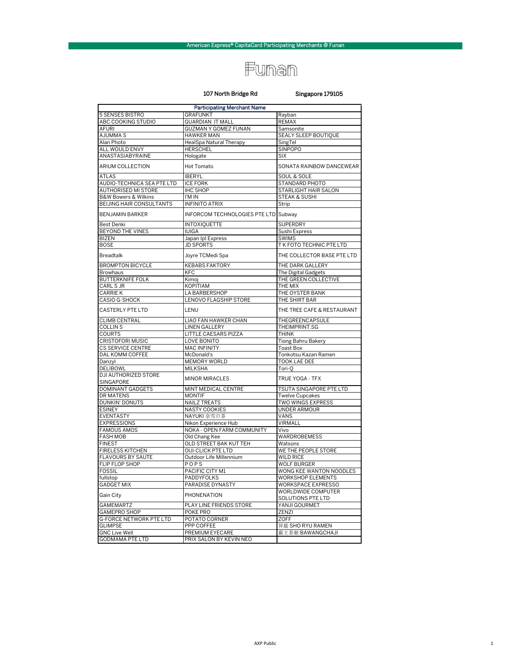## Funan

### 107 North Bridge Rd

### Singapore 179105

| <b>Participating Merchant Name</b>  |                                      |                                         |  |
|-------------------------------------|--------------------------------------|-----------------------------------------|--|
| 5 SENSES BISTRO                     | <b>GRAFUNKT</b>                      | Rayban                                  |  |
| ABC COOKING STUDIO                  | <b>GUARDIAN IT MALL</b>              | <b>REMAX</b>                            |  |
| <b>AFURI</b>                        | <b>GUZMAN Y GOMEZ FUNAN</b>          | Samsonite                               |  |
| <b>AJUMMAS</b>                      | <b>HAWKER MAN</b>                    | SEALY SLEEP BOUTIQUE                    |  |
| Alan Photo                          | HealSpa Natural Therapy              | SingTel                                 |  |
| <b>ALL WOULD ENVY</b>               | <b>HERSCHEL</b>                      | <b>SINPOPO</b>                          |  |
| ANASTASIABYRAINE                    | Hologate                             | <b>SIX</b>                              |  |
| ARIUM COLLECTION                    | Hot Tomato                           | SONATA RAINBOW DANCEWEAR                |  |
| <b>ATLAS</b>                        | <b>IBERYL</b>                        | <b>SOUL &amp; SOLE</b>                  |  |
| AUDIO-TECHNICA SEA PTE LTD          | <b>ICE FORK</b>                      | STANDARD PHOTO                          |  |
| AUTHORISED MI STORE                 | <b>IHC SHOP</b>                      | STARLIGHT HAIR SALON                    |  |
| <b>B&amp;W Bowers &amp; Wilkins</b> | I'M IN                               | STEAK & SUSHI                           |  |
| BEIJING HAIR CONSULTANTS            | <b>INFINITO ATRIX</b>                | Strip                                   |  |
| <b>BENJAMIN BARKER</b>              | INFORCOM TECHNOLOGIES PTE LTD Subway |                                         |  |
| <b>Best Denki</b>                   | <b>INTOXIQUETTE</b>                  | SUPERDRY                                |  |
| BEYOND THE VINES                    | <b>IUIGA</b>                         | Sushi Express                           |  |
|                                     |                                      |                                         |  |
| <b>BIZEN</b>                        | Japan Ipl Express                    | <b>SWIMS</b>                            |  |
| <b>BOSE</b>                         | <b>JD SPORTS</b>                     | T K FOTO TECHNIC PTE LTD                |  |
| <b>Breadtalk</b>                    | Joyre TCMedi Spa                     | THE COLLECTOR BASE PTE LTD              |  |
| <b>BROMPTON BICYCLE</b>             | <b>KEBABS FAKTORY</b>                | THE DARK GALLERY                        |  |
| <b>Browhaus</b>                     | <b>KFC</b>                           | The Digital Gadgets                     |  |
| <b>BUTTERKNIFE FOLK</b>             | Kimoj                                | THE GREEN COLLECTIVE                    |  |
| CARL S JR                           | KOPITIAM                             | THE MIX                                 |  |
| <b>CARRIE K</b>                     | LA BARBERSHOP                        | THE OYSTER BANK                         |  |
| <b>CASIO G-SHOCK</b>                | LENOVO FLAGSHIP STORE                | THE SHIRT BAR                           |  |
| <b>CASTERLY PTE LTD</b>             | LENU                                 | THE TREE CAFE & RESTAURANT              |  |
| <b>CLIMB CENTRAL</b>                | LIAO FAN HAWKER CHAN                 | THEGREENCAPSULE                         |  |
| <b>COLLINS</b>                      | <b>LINEN GALLERY</b>                 | THEIMPRINT.SG                           |  |
| <b>COURTS</b>                       | LITTLE CAESARS PIZZA                 | <b>THINK</b>                            |  |
| <b>CRISTOFORI MUSIC</b>             | LOVE BONITO                          | Tiong Bahru Bakery                      |  |
| <b>CS SERVICE CENTRE</b>            | <b>MAC INFINITY</b>                  | <b>Toast Box</b>                        |  |
| DAL KOMM COFFEE                     | McDonald's                           | Tonkotsu Kazan Ramen                    |  |
| Danzyl                              | <b>MEMORY WORLD</b>                  | TOOK LAE DEE                            |  |
| <b>DELIBOWL</b>                     | <b>MILKSHA</b>                       | Tori-O                                  |  |
| DJI AUTHORIZED STORE<br>SINGAPORE   | <b>MINOR MIRACLES</b>                | TRUE YOGA - TFX                         |  |
| DOMINANT GADGETS                    | MINT MEDICAL CENTRE                  | TSUTA SINGAPORE PTE LTD                 |  |
| DR MATENS                           | <b>MONTIF</b>                        | <b>Twelve Cupcakes</b>                  |  |
| <b>DUNKIN' DONUTS</b>               | <b>NAILZ TREATS</b>                  | TWO WINGS EXPRESS                       |  |
| <b>ESINEY</b>                       | <b>NASTY COOKIES</b>                 | <b>UNDER ARMOUR</b>                     |  |
| <b>EVENTASTY</b>                    | NAYUKI 奈雪の茶                          | VANS                                    |  |
| <b>EXPRESSIONS</b>                  | Nikon Experience Hub                 | VIRMALL                                 |  |
| <b>FAMOUS AMOS</b>                  | NOKA - OPEN FARM COMMUNITY           | Vivo                                    |  |
| <b>FASH MOB</b>                     | Old Chang Kee                        | WARDROBEMESS                            |  |
| <b>FINEST</b>                       | OLD STREET BAK KUT TEH               | Watsons                                 |  |
| FIRELESS KITCHEN                    | <b>OUI-CLICK PTE LTD</b>             | WE THE PEOPLE STORE                     |  |
| <b>FLAVOURS BY SAUTE</b>            | Outdoor Life Millennium              | <b>WILD RICE</b>                        |  |
| FLIP FLOP SHOP                      |                                      |                                         |  |
| <b>FOSSIL</b>                       | POPS<br>PACIFIC CITY M1              | WOLF BURGER<br>WONG KEE WANTON NOODLES  |  |
|                                     |                                      |                                         |  |
| fullstop                            | PADDYFOLKS                           | <b>WORKSHOP ELEMENTS</b>                |  |
| <b>GADGET MIX</b>                   | PARADISE DYNASTY                     | WORKSPACE EXPRESSO                      |  |
| Gain City                           | PHONENATION                          | WORLDWIDE COMPUTER<br>SOLUTIONS PTE LTD |  |
| <b>GAMEMARTZ</b>                    | PLAY LINE FRIENDS STORE              | YANJI GOURMET                           |  |
| <b>GAMEPRO SHOP</b>                 | POKE PRO                             | ZENZI                                   |  |
| <b>G-FORCE NETWORK PTE LTD</b>      | POTATO CORNER                        | <b>ZOFF</b>                             |  |
| <b>GLIMPSE</b>                      | PPP COFFEE                           | 昇龍 SHO RYU RAMEN                        |  |
| <b>GNC Live Well</b>                | PREMIUM EYECARE                      | 霸王茶姬 BAWANGCHAJI                        |  |
| <b>GODMAMA PTE LTD</b>              | PRIX SALON BY KEVIN NEO              |                                         |  |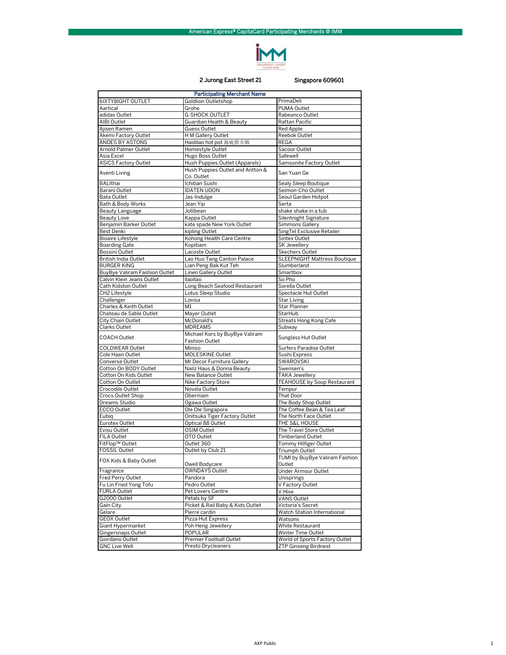

## 2 Jurong East Street 21 Singapore 609601

| <b>Participating Merchant Name</b> |                                                         |                                          |  |
|------------------------------------|---------------------------------------------------------|------------------------------------------|--|
| 6IXTY8IGHT OUTLET                  | <b>Goldlion Outletshop</b>                              | PrimaDeli                                |  |
| Aartical                           | Grohe                                                   | PUMA Outlet                              |  |
| adidas Outlet                      | <b>G-SHOCK OUTLET</b>                                   | Rabeanco Outlet                          |  |
| AIBI Outlet                        | Guardian Health & Beauty                                | Rattan Pacific                           |  |
| Ajisen Ramen                       | Guess Outlet                                            | <b>Red Apple</b>                         |  |
| Akemi Factory Outlet               | H M Gallery Outlet                                      | Reebok Outlet                            |  |
| ANDES BY ASTONS                    | Haidilao hot pot 海底捞火锅                                  | <b>REGA</b>                              |  |
| <b>Arnold Palmer Outlet</b>        | Homestyle Outlet                                        | Sacoor Outlet                            |  |
| Asia Excel                         | Hugo Boss Outlet                                        | Safewell                                 |  |
| ASICS Factory Outlet               | Hush Puppies Outlet (Apparels)                          | Samsonite Factory Outlet                 |  |
| Aventi Living                      | Hush Puppies Outlet and Antton &<br>Co. Outlet          | San Yuan Ge                              |  |
| <b>BALIthai</b>                    | Ichiban Sushi                                           | Sealy Sleep Boutique                     |  |
| Barani Outlet                      | <b>IDATEN UDON</b>                                      | Seimon-Cho Outlet                        |  |
| Bata Outlet                        | Jas-Indulge                                             | Seoul Garden Hotpot                      |  |
| Bath & Body Works                  | Jean Yip                                                | Serta                                    |  |
| Beauty Language                    | Jollibean                                               | shake shake in a tub                     |  |
| Beauty Love                        | Kappa Outlet                                            | Silentnight Signature                    |  |
| Benjamin Barker Outlet             | kate spade New York Outlet                              | Simmons Gallery                          |  |
| Best Denki                         | kipling Outlet                                          | SingTel Exclusive Retailer               |  |
| <b>Bioaire Lifestyle</b>           | Kohong Health Care Centre                               | Sintex Outlet                            |  |
| <b>Boarding Gate</b>               | Kopitiam                                                | <b>SK Jewellery</b>                      |  |
| Bossini Outlet                     | Lacoste Outlet                                          | <b>Skechers Outlet</b>                   |  |
| <b>British India Outlet</b>        | Lao Huo Tang Canton Palace                              | <b>SLEEPNIGHT Mattress Boutique</b>      |  |
| <b>BURGER KING</b>                 | Lian Peng Bak Kut Teh                                   | Slumberland                              |  |
| BuyBye Valiram Fashion Outlet      | Linen Gallery Outlet                                    | Smartbox                                 |  |
| Calvin Klein Jeans Outlet          | llaollao                                                | So Pho                                   |  |
| Cath Kidston Outlet                | Long Beach Seafood Restaurant                           | Sorella Outlet                           |  |
| CH <sub>2</sub> Lifestyle          | Lotus Sleep Studio                                      | Spectacle Hut Outlet                     |  |
| Challenger                         | Lovisa                                                  | <b>Star Living</b>                       |  |
| Charles & Keith Outlet             | M1                                                      | Star Planner                             |  |
| Chateau de Sable Outlet            | Mayer Outlet<br>McDonald's                              | StarHub                                  |  |
| City Chain Outlet<br>Clarks Outlet | <b>MDREAMS</b>                                          | <b>Streats Hong Kong Cafe</b>            |  |
| <b>COACH Outlet</b>                | Michael Kors by BuyBye Valiram<br><b>Fashion Outlet</b> | Subway<br>Sunglass Hut Outlet            |  |
| <b>COLDWEAR Outlet</b>             | Miniso                                                  | Surfers Paradise Outlet                  |  |
| Cole Haan Outlet                   | MOLESKINE Outlet                                        | Sushi Express                            |  |
| Converse Outlet                    | Mr Decor Furniture Gallery                              | SWAROVSKI                                |  |
| Cotton On BODY Outlet              | Nailz Haus & Donna Beauty                               | Swensen's                                |  |
| Cotton On Kids Outlet              | New Balance Outlet                                      | <b>TAKA Jewellery</b>                    |  |
| Cotton On Outlet                   | Nike Factory Store                                      | <b>TEAHOUSE by Soup Restaurant</b>       |  |
| Crocodile Outlet                   | Novela Outlet                                           | Tempur                                   |  |
| Crocs Outlet Shop                  | Obermain                                                | That Door                                |  |
| Dreams Studio                      | Ogawa Outlet                                            | The Body Shop Outlet                     |  |
| <b>ECCO Outlet</b>                 | Ole Ole Singapore                                       | The Coffee Bean & Tea Leaf               |  |
| Eubig                              | Onitsuka Tiger Factory Outlet                           | The North Face Outlet                    |  |
| Eurotex Outlet                     | Optical 88 Outlet                                       | THE S&L HOUSE                            |  |
| Evisu Outlet                       | OSIM Outlet                                             | The Travel Store Outlet                  |  |
| FILA Outlet                        | OTO Outlet                                              | <b>Timberland Outlet</b>                 |  |
| FitFlop™ Outlet                    | Outlet 360                                              | Tommy Hilfiger Outlet                    |  |
| <b>FOSSIL Outlet</b>               | Outlet by Club 21                                       | Triumph Outlet                           |  |
| FOX Kids & Baby Outlet             | Owell Bodycare                                          | TUMI by BuyBye Valiram Fashion<br>Outlet |  |
| Fragrance                          | <b>OWNDAYS Outlet</b>                                   | Under Armour Outlet                      |  |
| Fred Perry Outlet                  | Pandora                                                 | Unisprings                               |  |
| Fu Lin Fried Yong Tofu             | Pedro Outlet                                            | V Factory Outlet                         |  |
| <b>FURLA Outlet</b>                | Pet Lovers Centre                                       | V.Hive                                   |  |
| G2000 Outlet                       | Petals by SF                                            | VANS Outlet                              |  |
| Gain City                          | Picket & Rail Baby & Kids Outlet                        | Victoria's Secret                        |  |
| Gelare                             | Pierre cardin                                           | Watch Station International              |  |
| <b>GEOX Outlet</b>                 | Pizza Hut Express                                       | Watsons                                  |  |
| Giant Hypermarket                  | Poh Heng Jewellery                                      | White Restaurant                         |  |
| Gingersnaps Outlet                 | POPULAR                                                 | Winter Time Outlet                       |  |
| Giordano Outlet                    | Premier Football Outlet                                 | World of Sports Factory Outlet           |  |
| <b>GNC Live Well</b>               | <b>Presto Drycleaners</b>                               | ZTP Ginseng Birdnest                     |  |
|                                    |                                                         |                                          |  |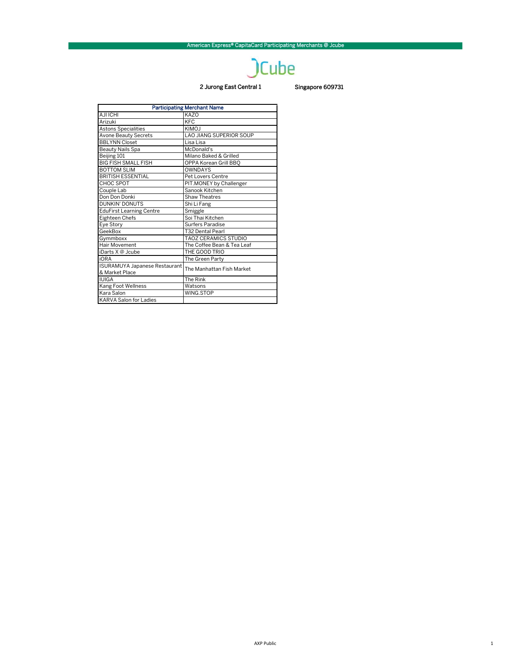## **JCube**

## 2 Jurong East Central 1 Singapore 609731

| <b>Participating Merchant Name</b>   |                             |  |
|--------------------------------------|-----------------------------|--|
| AJI ICHI                             | KAZO                        |  |
| Arizuki                              | KFC                         |  |
| <b>Astons Specialities</b>           | KIMOJ                       |  |
| <b>Avone Beauty Secrets</b>          | LAO JIANG SUPERIOR SOUP     |  |
| <b>BBLYNN Closet</b>                 | Lisa Lisa                   |  |
| Beauty Nails Spa                     | McDonald's                  |  |
| Beijing 101                          | Milano Baked & Grilled      |  |
| <b>BIG FISH SMALL FISH</b>           | OPPA Korean Grill BBQ       |  |
| <b>BOTTOM SLIM</b>                   | <b>OWNDAYS</b>              |  |
| <b>BRITISH ESSENTIAL</b>             | <b>Pet Lovers Centre</b>    |  |
| CHOC SPOT                            | PIT.MONEY by Challenger     |  |
| Couple Lab                           | Sanook Kitchen              |  |
| Don Don Donki                        | <b>Shaw Theatres</b>        |  |
| DUNKIN' DONUTS                       | Shi Li Fang                 |  |
| <b>EduFirst Learning Centre</b>      | Smiggle                     |  |
| Eighteen Chefs                       | Soi Thai Kitchen            |  |
| Eye Story                            | <b>Surfers Paradise</b>     |  |
| GeekBox                              | <b>T32 Dental Pearl</b>     |  |
| Gymmboxx                             | <b>TAOZ CERAMICS STUDIO</b> |  |
| Hair Movement                        | The Coffee Bean & Tea Leaf  |  |
| iDarts X @ Jcube                     | THE GOOD TRIO               |  |
| <b>iORA</b>                          | The Green Party             |  |
| <b>ISURAMUYA Japanese Restaurant</b> | The Manhattan Fish Market   |  |
| & Market Place                       |                             |  |
| <b>IUIGA</b>                         | The Rink                    |  |
| Kang Foot Wellness                   | Watsons                     |  |
| Kara Salon                           | WING.STOP                   |  |
| <b>KARVA Salon for Ladies</b>        |                             |  |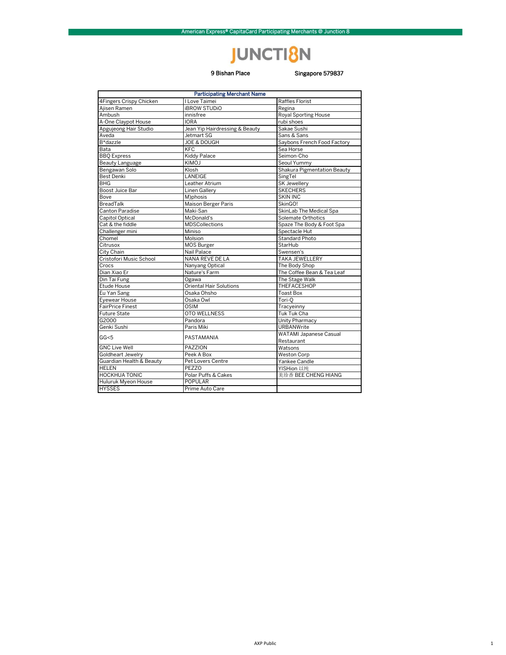## **JUNCTI8N**

## 9 Bishan Place

## Singapore 579837

| <b>Participating Merchant Name</b> |                                |                             |  |
|------------------------------------|--------------------------------|-----------------------------|--|
| 4Fingers Crispy Chicken            | I Love Taimei                  | <b>Raffles Florist</b>      |  |
| Ajisen Ramen                       | <b>IBROW STUDIO</b>            | Regina                      |  |
| Ambush                             | innisfree                      | <b>Royal Sporting House</b> |  |
| A-One Claypot House                | <b>IORA</b>                    | rubi shoes                  |  |
| Apgujeong Hair Studio              | Jean Yip Hairdressing & Beauty | Sakae Sushi                 |  |
| Aveda                              | Jetmart SG                     | Sans & Sans                 |  |
| B*dazzle                           | <b>JOE &amp; DOUGH</b>         | Saybons French Food Factory |  |
| Bata                               | KFC                            | Sea Horse                   |  |
| <b>BBO</b> Express                 | Kiddy Palace                   | Seimon-Cho                  |  |
| Beauty Language                    | <b>KIMOJ</b>                   | Seoul Yummy                 |  |
| Bengawan Solo                      | Klosh                          | Shakura Pigmentation Beauty |  |
| <b>Best Denki</b>                  | LANEIGE                        | SingTel                     |  |
| BHG                                | Leather Atrium                 | SK Jewellery                |  |
| Boost Juice Bar                    | <b>Linen Gallerv</b>           | <b>SKECHERS</b>             |  |
| Bove                               | M)phosis                       | <b>SKIN INC</b>             |  |
| <b>BreadTalk</b>                   | Maison Berger Paris            | SkinGO!                     |  |
| <b>Canton Paradise</b>             | Maki-San                       | SkinLab The Medical Spa     |  |
| Capitol Optical                    | McDonald's                     | Solemate Orthotics          |  |
| Cat & the fiddle                   | <b>MDSCollections</b>          | Spaze The Body & Foot Spa   |  |
| Challenger mini                    | Miniso                         | Spectacle Hut               |  |
| Chomel                             | Molsion                        | <b>Standard Photo</b>       |  |
| Citrusox                           | MOS Burger                     | StarHub                     |  |
| City Chain                         | Nail Palace                    | Swensen's                   |  |
| Cristofori Music School            | <b>NANA REVE DE LA</b>         | <b>TAKA JEWELLERY</b>       |  |
| Crocs                              | Nanyang Optical                | The Body Shop               |  |
| Dian Xiao Er                       | Nature's Farm                  | The Coffee Bean & Tea Leaf  |  |
| Din Tai Fung                       | Ogawa                          | The Stage Walk              |  |
| Etude House                        | <b>Oriental Hair Solutions</b> | <b>THEFACESHOP</b>          |  |
| Eu Yan Sang                        | Osaka Ohsho                    | <b>Toast Box</b>            |  |
| Eyewear House                      | Osaka Owl                      | Tori-O                      |  |
| <b>FairPrice Finest</b>            | <b>OSIM</b>                    | Tracyeinny                  |  |
| <b>Future State</b>                | <b>OTO WELLNESS</b>            | Tuk Tuk Cha                 |  |
| G2000                              | Pandora                        | Unity Pharmacy              |  |
| Genki Sushi                        | Paris Miki                     | <b>URBANWrite</b>           |  |
|                                    |                                | WATAMI Japanese Casual      |  |
| GG<5                               | PASTAMANIA                     | Restaurant                  |  |
| <b>GNC Live Well</b>               | PAZZION                        | Watsons                     |  |
| Goldheart Jewelry                  | Peek A Box                     | <b>Weston Corp</b>          |  |
| Guardian Health & Beauty           | Pet Lovers Centre              | Yankee Candle               |  |
| <b>HELEN</b>                       | <b>PEZZO</b>                   | YISHion 以纯                  |  |
| <b>HOCKHUA TONIC</b>               | Polar Puffs & Cakes            | 美珍香 BEE CHENG HIANG         |  |
| Huluruk Myeon House                | <b>POPULAR</b>                 |                             |  |
| <b>HYSSES</b>                      | Prime Auto Care                |                             |  |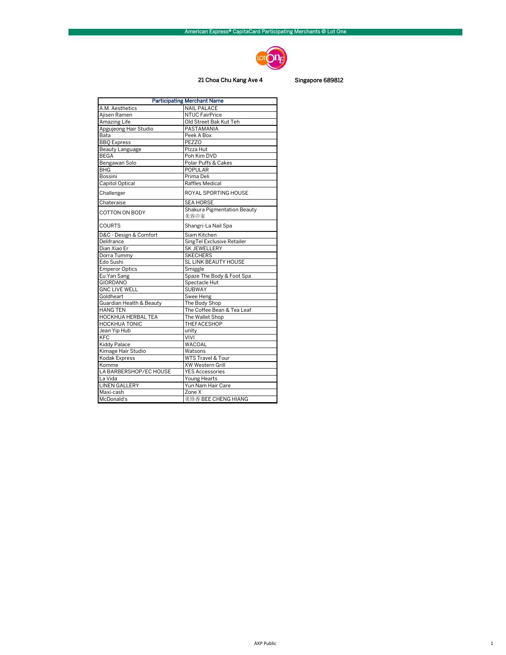

## 21 Choa Chu Kang Ave 4 Singapore 689812

| <b>Participating Merchant Name</b> |                                    |  |
|------------------------------------|------------------------------------|--|
| A.M. Aesthetics                    | <b>NAIL PALACE</b>                 |  |
| Ajisen Ramen                       | <b>NTUC FairPrice</b>              |  |
| Amazing Life                       | Old Street Bak Kut Teh             |  |
| Apgujeong Hair Studio              | PASTAMANIA                         |  |
| Bata                               | Peek A Box                         |  |
| <b>BBQ</b> Express                 | <b>PEZZO</b>                       |  |
| <b>Beauty Language</b>             | Pizza Hut                          |  |
| <b>BEGA</b>                        | Poh Kim DVD                        |  |
| Bengawan Solo                      | Polar Puffs & Cakes                |  |
| BHG                                | POPULAR                            |  |
| Bossini                            | Prima Deli                         |  |
| Capitol Optical                    | Raffles Medical                    |  |
| Challenger                         | ROYAL SPORTING HOUSE               |  |
| Chateraise                         | <b>SEA HORSE</b>                   |  |
| COTTON ON BODY                     | <b>Shakura Pigmentation Beauty</b> |  |
|                                    | 美容の家                               |  |
| COURTS                             | Shangri-La Nail Spa                |  |
| D&C - Design & Comfort             | Siam Kitchen                       |  |
| Delifrance                         | SingTel Exclusive Retailer         |  |
| Dian Xiao Er                       | <b>SK JEWELLERY</b>                |  |
| Dorra Tummy                        | <b>SKECHERS</b>                    |  |
| Edo Sushi                          | <b>SL LINK BEAUTY HOUSE</b>        |  |
| <b>Emperor Optics</b>              | Smiggle                            |  |
| Eu Yan Sang                        | Spaze The Body & Foot Spa          |  |
| <b>GIORDANO</b>                    | Spectacle Hut                      |  |
| <b>GNC LIVE WELL</b>               | <b>SUBWAY</b>                      |  |
| Goldheart                          | Swee Heng                          |  |
| Guardian Health & Beauty           | The Body Shop                      |  |
| <b>HANG TEN</b>                    | The Coffee Bean & Tea Leaf         |  |
| <b>HOCKHUA HERBAL TEA</b>          | The Wallet Shop                    |  |
| <b>HOCKHUA TONIC</b>               | THEFACESHOP                        |  |
| Jean Yip Hub                       | unity                              |  |
| KFC                                | VIVI                               |  |
| <b>Kiddy Palace</b>                | WACOAL                             |  |
| Kimage Hair Studio                 | Watsons                            |  |
| Kodak Express                      | WTS Travel & Tour                  |  |
| Komme                              | XW Western Grill                   |  |
| LA BARBERSHOP/EC HOUSE             | <b>YES Accessories</b>             |  |
| La Vida                            | Young Hearts                       |  |
| <b>LINEN GALLERY</b>               | Yun Nam Hair Care                  |  |
| Maxi-cash                          | $\overline{Z}$ one X               |  |
| McDonald's                         | 美珍香 BEE CHENG HIANG                |  |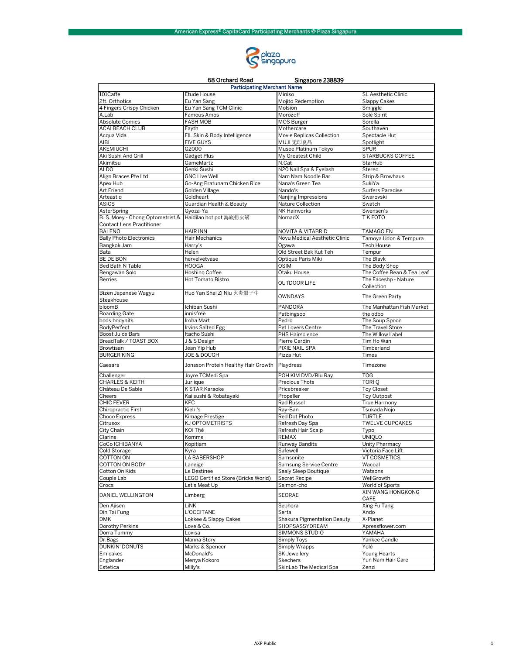

| 68 Orchard Road<br>Singapore 238839 |                                     |                                           |                            |
|-------------------------------------|-------------------------------------|-------------------------------------------|----------------------------|
|                                     | <b>Participating Merchant Name</b>  |                                           |                            |
| 101Caffe                            | Etude House                         | Miniso                                    | <b>SL Aesthetic Clinic</b> |
| 2ft. Orthotics                      | Eu Yan Sang                         | Mojito Redemption                         | <b>Slappy Cakes</b>        |
| 4 Fingers Crispy Chicken            | Eu Yan Sang TCM Clinic              | Molsion                                   | Smiggle                    |
| A.Lab                               | Famous Amos                         | Morozoff                                  | Sole Spirit                |
| <b>Absolute Comics</b>              | <b>FASH MOB</b>                     | <b>MOS Burger</b>                         | Sorella                    |
| <b>ACAI BEACH CLUB</b>              | Fayth                               | Mothercare                                | Southaven                  |
| Acqua Vida                          | FIL Skin & Body Intelligence        | Movie Replicas Collection                 | Spectacle Hut              |
| AIBI<br>AKEMIUCHI                   | <b>FIVE GUYS</b><br>G2000           | MUJI 无印良品                                 | Spotlight<br><b>SPUR</b>   |
| Aki Sushi And Grill                 | Gadget Plus                         | Musee Platinum Tokyo<br>My Greatest Child | STARBUCKS COFFEE           |
| Akimitsu                            | GameMartz                           | N.Cat                                     | StarHub                    |
| <b>ALDO</b>                         | Genki Sushi                         | N20 Nail Spa & Eyelash                    | Stereo                     |
| Align Braces Pte Ltd                | <b>GNC Live Well</b>                | Nam Nam Noodle Bar                        | Strip & Browhaus           |
| Apex Hub                            | Go-Ang Pratunam Chicken Rice        | Nana's Green Tea                          | SukiYa                     |
| <b>Art Friend</b>                   | Golden Village                      | Nando's                                   | Surfers Paradise           |
| Arteastig                           | Goldheart                           | Nanjing Impressions                       | Swarovski                  |
| <b>ASICS</b>                        | Guardian Health & Beauty            | Nature Collection                         | Swatch                     |
| AsterSpring                         | Gyoza-Ya                            | NK Hairworks                              | Swensen's                  |
| B. S. Moey - Chong Optometrist &    | Haidilao hot pot 海底捞火锅              | NomadX                                    | T K FOTO                   |
| <b>Contact Lens Practitioner</b>    |                                     |                                           |                            |
| <b>BALENO</b>                       | <b>HAIR INN</b>                     | <b>NOVITA &amp; VITABRID</b>              | <b>TAMAGO EN</b>           |
| <b>Bally Photo Electronics</b>      | Hair Mechanics                      | Novu Medical Aesthetic Clinic             | Tamova Udon & Tempura      |
| Bangkok Jam                         | Harry's                             | Ogawa                                     | <b>Tech House</b>          |
| Bata                                | Helen                               | Old Street Bak Kut Teh                    | Tempur                     |
| <b>BE DE BON</b>                    | hervelvetvase                       | Optique Paris Miki                        | The Blavk                  |
| Bed Bath N Table                    | <b>HOOGA</b>                        | <b>OSIM</b>                               | The Body Shop              |
| Bengawan Solo                       | Hoshino Coffee                      | Otaku House                               | The Coffee Bean & Tea Leaf |
| <b>Berries</b>                      | Hot Tomato Bistro                   | <b>OUTDOOR LIFE</b>                       | The Faceshp - Nature       |
|                                     |                                     |                                           | Collection                 |
| Bizen Japanese Wagyu                | Huo Yan Shai Zi Niu 火炎骰子牛           | <b>OWNDAYS</b>                            | The Green Party            |
| Steakhouse                          |                                     |                                           |                            |
| bloomB                              | Ichiban Sushi                       | PANDORA                                   | The Manhattan Fish Market  |
| <b>Boarding Gate</b>                | innisfree                           | Patbingsoo                                | the odbo                   |
| bods.bodynits                       | Iroha Mart                          | Pedro                                     | The Soup Spoon             |
| BodyPerfect                         | <b>Irvins Salted Egg</b>            | Pet Lovers Centre                         | The Travel Store           |
| Boost Juice Bars                    | Itacho Sushi                        | PHS Hairscience                           | The Willow Label           |
| BreadTalk / TOAST BOX               | J & S Design                        | Pierre Cardin                             | Tim Ho Wan                 |
| Browtisan                           | Jean Yip Hub                        | PIXIE NAIL SPA                            | Timberland                 |
| <b>BURGER KING</b>                  | <b>JOE &amp; DOUGH</b>              | Pizza Hut                                 | Times                      |
| Caesars                             | Jonsson Protein Healthy Hair Growth | Playdress                                 | Timezone                   |
| Challenger                          | Joyre TCMedi Spa                    | POH KIM DVD/Blu Ray                       | TOG                        |
| <b>CHARLES &amp; KEITH</b>          | Jurlique                            | Precious Thots                            | TORI <sub>Q</sub>          |
| Château De Sable                    | K STAR Karaoke                      | Pricebreaker                              | <b>Toy Closet</b>          |
| <b>Cheers</b>                       | Kai sushi & Robatayaki              | Propeller                                 | Toy Outpost                |
| CHIC FEVER                          | KFC                                 | Rad Russel                                | True Harmony               |
| Chiropractic First                  | Kiehl's                             | Ray-Ban                                   | Tsukada Noio               |
| Choco Express                       | Kimage Prestige                     | Red Dot Photo                             | <b>TURTLE</b>              |
| Citrusox                            | KJ OPTOMETRISTS                     | Refresh Day Spa                           | <b>TWELVE CUPCAKES</b>     |
| City Chain                          | KOI Thé                             | Refresh Hair Scalp                        | Typo                       |
| Clarins                             | Komme                               | <b>REMAX</b>                              | <b>UNIOLO</b>              |
| CoCo ICHIBANYA                      | Kopitiam                            | Runway Bandits                            | Unity Pharmacy             |
| <b>Cold Storage</b>                 | Kyra                                | Safewell                                  | Victoria Face Lift         |
| COTTON ON                           | LA BABERSHOP                        | Samsonite                                 | <b>VT COSMETICS</b>        |
| COTTON ON BODY                      | Laneige                             | Samsung Service Centre                    | Wacoal                     |
| Cotton On Kids                      | Le Destinee                         | Sealy Sleep Boutique                      | Watsons                    |
| Couple Lab                          | LEGO Certified Store (Bricks World) | Secret Recipe                             | WellGrowth                 |
| Crocs                               | Let's Meat Up                       | Seimon-cho                                | World of Sports            |
| DANIEL WELLINGTON                   | Limberg                             | SEORAE                                    | XIN WANG HONGKONG<br>CAFE  |
| Den Ajisen                          | LiNK                                | Sephora                                   | Xing Fu Tang               |
| Din Tai Fung                        | L'OCCITANE                          | Serta                                     | Xndo                       |
| <b>DMK</b>                          | Lokkee & Slappy Cakes               | Shakura Pigmentation Beauty               | X-Planet                   |
| Dorothy Perkins                     | Love & Co.                          | SHOPSASSYDREAM                            | Xpressflower.com           |
| Dorra Tummy                         | Lovisa                              | SIMMONS STUDIO                            | YAMAHA                     |
| Dr.Bags                             | Manna Story                         | Simply Toys                               | Yankee Candle              |
| <b>DUNKIN' DONUTS</b>               | Marks & Spencer                     | Simply Wrapps                             | Yolé                       |
| Emicakes                            | McDonald's                          | <b>SK Jewellery</b>                       | Young Hearts               |
| Englander                           | Menya Kokoro                        | Skechers                                  | Yun Nam Hair Care          |
| Estetica                            | Milly's                             | SkinLab The Medical Spa                   | Zenzi                      |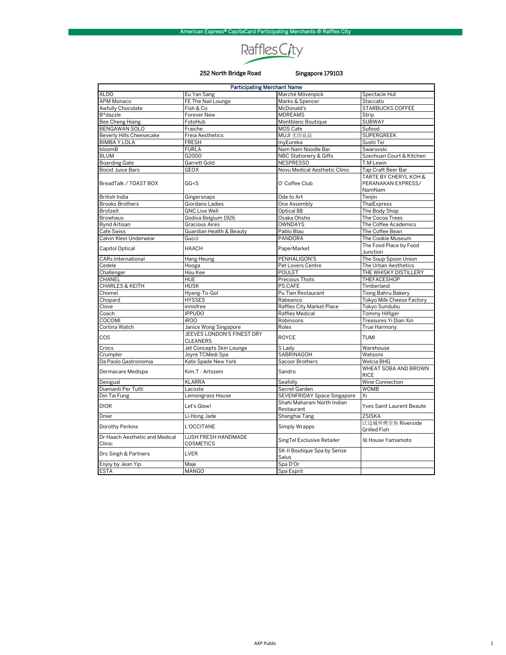## Raffles City

## 252 North Bridge Road

## Singapore 179103

| <b>Participating Merchant Name</b> |                                               |                                           |                                                       |
|------------------------------------|-----------------------------------------------|-------------------------------------------|-------------------------------------------------------|
| <b>ALDO</b>                        | Eu Yan Sang                                   | Marché Mövenpick                          | Spectacle Hut                                         |
| APM Monaco                         | FE The Nail Lounge                            | Marks & Spencer                           | Staccato                                              |
| Awfully Chocolate                  | Fish & Co                                     | McDonald's                                | <b>STARBUCKS COFFEE</b>                               |
| B*dazzle                           | Forever New                                   | <b>MDREAMS</b>                            | Strip                                                 |
| <b>Bee Cheng Hiang</b>             | FotoHub                                       | Montblanc Boutique                        | <b>SUBWAY</b>                                         |
| BENGAWAN SOLO                      | Fraiche                                       | MOS Cafe                                  | Sufood                                                |
| Beverly Hills Cheesecake           | Freia Aesthetics                              | MUJI 无印良品                                 | <b>SUPERGREEK</b>                                     |
| <b>BIMBAY LOLA</b>                 | <b>FRESH</b>                                  | myEureka                                  | Sushi Tei                                             |
| bloomB                             | <b>FURLA</b>                                  | Nam Nam Noodle Bar                        | Swarovski                                             |
| <b>BLUM</b>                        | G2000                                         | <b>NBC Stationery &amp; Gifts</b>         | Szechuan Court & Kitchen                              |
| <b>Boarding Gate</b>               | Garrett Gold                                  | <b>NESPRESSO</b>                          | T.M Lewin                                             |
| <b>Boost Juice Bars</b>            | <b>GEOX</b>                                   | Novu Medical Aesthetic Clinic             | Tap Craft Beer Bar                                    |
| BreadTalk / TOAST BOX              | GG<5                                          | O' Coffee Club                            | TARTE BY CHERYL KOH &<br>PERANAKAN EXPRESS/<br>NamNam |
| British India                      | Gingersnaps                                   | Ode to Art                                | Tenjin                                                |
| <b>Brooks Brothers</b>             | Giordano Ladies                               | One Assembly                              | ThaiExpress                                           |
| Brotzeit                           | <b>GNC Live Well</b>                          | Optical 88                                | The Body Shop                                         |
| <b>Browhaus</b>                    | Godiva Belgium 1926                           | Osaka Ohsho                               | The Cocoa Trees                                       |
| <b>Bynd Artisan</b>                | <b>Gracious Aires</b>                         | <b>OWNDAYS</b>                            | The Coffee Academics                                  |
| <b>Cafe Swiss</b>                  | Guardian Health & Beauty                      | Pablo Blau                                | The Coffee Bean                                       |
| Calvin Klein Underwear             | Gucci                                         | PANDORA                                   | The Cookie Museum                                     |
| Capitol Optical                    | <b>HAACH</b>                                  | PaperMarket                               | The Food Place by Food<br>Junction                    |
| <b>CARs International</b>          | Hang Heung                                    | PENHALIGON'S                              | The Soup Spoon Union                                  |
| Cedele                             | Hooga                                         | Pet Lovers Centre                         | The Urban Aesthetics                                  |
| Challenger                         | Hou Kee                                       | <b>POULET</b>                             | THE WHISKY DISTILLERY                                 |
| CHANEL                             | <b>HUE</b>                                    | Precious Thots                            | THEFACESHOP                                           |
| <b>CHARLES &amp; KEITH</b>         | <b>HUSK</b>                                   | PS.CAFE                                   | Timberland                                            |
| Chomel                             | Hyang-To-Gol                                  | Pu Tien Restaurant                        | <b>Tiong Bahru Bakery</b>                             |
| Chopard                            | <b>HYSSES</b>                                 | Rabeanco                                  | Tokyo Milk Cheese Factory                             |
| Clove                              | innisfree                                     | Raffles City Market Place                 | Tokyo Sundubu                                         |
| Coach                              | <b>IPPUDO</b>                                 | Raffles Medical                           | <b>Tommy Hilfiger</b>                                 |
| COCOMI                             | <b>iROO</b>                                   | Robinsons                                 | Treasures Yi Dian Xin                                 |
| Cortina Watch                      | Janice Wong Singapore                         | Rolex                                     | True Harmony                                          |
| COS                                | JEEVES LONDON'S FINEST DRY<br><b>CLEANERS</b> | <b>ROYCE</b>                              | <b>TUMI</b>                                           |
| Crocs                              | Jet Concepts Skin Lounge                      | S Lady                                    | Warehouse                                             |
| Crumpler                           | Joyre TCMedi Spa                              | <b>SABRINAGOH</b>                         | Watsons                                               |
| Da Paolo Gastronomia               | Kate Spade New York                           | Sacoor Brothers                           | Welcia BHG                                            |
| Dermacare Medispa                  | Kim.T - Artsseni                              | Sandro                                    | WHEAT SOBA AND BROWN<br><b>RICE</b>                   |
| Desigual                           | <b>KLARRA</b>                                 | Seafolly                                  | Wine Connection                                       |
| Diamanti Per Tutti                 | Lacoste                                       | Secret Garden                             | <b>WOMB</b>                                           |
| Din Tai Fung                       | Lemongrass House                              | SEVENFRIDAY Space Singapore               | Xi                                                    |
| <b>DIOR</b>                        | Let's Glow!                                   | Shahi Maharani North Indian<br>Restaurant | Yves Saint Laurent Beaute                             |
| Dnier                              | Li-Hong Jade                                  | Shanghai Tang                             | <b>ZSISKA</b>                                         |
| Dorothy Perkins                    | L'OCCITANE                                    | Simply Wrapps                             | 江边城外烤全鱼 Riverside                                     |
| Dr Haach Aesthetic and Medical     | LUSH FRESH HANDMADE                           |                                           | Grilled Fish                                          |
| Clinic                             | <b>COSMETICS</b>                              | SingTel Exclusive Retailer                | 麵 House Yamamoto                                      |
| Drs Singh & Partners               | LVER                                          | SK-II Boutique Spa by Senze<br>Salus      |                                                       |
| Enjoy by Jean Yip                  | Maje                                          | Spa D'Or                                  |                                                       |
| <b>ESTA</b>                        | <b>MANGO</b>                                  | Spa Esprit                                |                                                       |

 $\,$  1  $\,$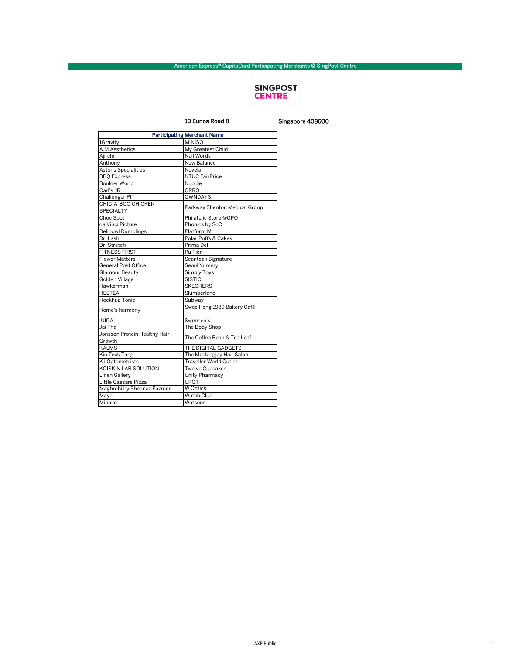## SINGPOST<br>**CENTRE**

10 Eunos Road 8 Singapore 408600

| <b>Participating Merchant Name</b> |                               |  |
|------------------------------------|-------------------------------|--|
| 1Gravity                           | <b>MINISO</b>                 |  |
| A.M Aesthetics                     | My Greatest Child             |  |
| Aji-chi                            | Nail Words                    |  |
| Anthony                            | New Balance                   |  |
| <b>Astons Specialities</b>         | Novela                        |  |
| <b>BBQ</b> Express                 | <b>NTUC FairPrice</b>         |  |
| <b>Boulder World</b>               | Nuodle                        |  |
| Carl's JR.                         | ORRO                          |  |
| Challenger PIT                     | OWNDAYS                       |  |
| CHIC-A-BOO CHICKEN                 |                               |  |
| <b>SPECIALTY</b>                   | Parkway Shenton Medical Group |  |
| Choc Spot                          | Philatelic Store @GPO         |  |
| da Vinci Picture                   | Phonics by SoC                |  |
| <b>Delibowl Dumplings</b>          | Platform M                    |  |
| Dr. Lash                           | Polar Puffs & Cakes           |  |
| Dr. Stretch                        | Prima Deli                    |  |
| <b>FITNESS FIRST</b>               | Pu Tien                       |  |
| <b>Flower Matters</b>              | Scanteak Signature            |  |
| <b>General Post Office</b>         | Seoul Yummy                   |  |
| Glamour Beauty                     | Simply Toys                   |  |
| Golden Village                     | <b>SISTIC</b>                 |  |
| Hawkerman                          | <b>SKECHERS</b>               |  |
| <b>HEETEA</b>                      | Slumberland                   |  |
| Hockhua Tonic                      | Subway                        |  |
| Home's harmony                     | Swee Heng 1989 Bakery Café    |  |
| <b>IUIGA</b>                       | Swensen's                     |  |
| Jai Thai                           | The Body Shop                 |  |
| Jonsson Protein Healthy Hair       | The Coffee Bean & Tea Leaf    |  |
| Growth                             |                               |  |
| <b>KALMS</b>                       | THE DIGITAL GADGETS           |  |
| Kin Teck Tong                      | The Mockingjay Hair Salon     |  |
| KJ Optometrists                    | <b>Traveller World Outlet</b> |  |
| KOISKIN LAB SOLUTION               | <b>Twelve Cupcakes</b>        |  |
| Linen Gallery                      | Unity Pharmacy                |  |
| Little Caesars Pizza               | <b>UPOT</b>                   |  |
| Maghrebi by Sheenaz Fazreen        | <b>W</b> Optics               |  |
| Mayer                              | Watch Club                    |  |
| Minako                             | Watsons                       |  |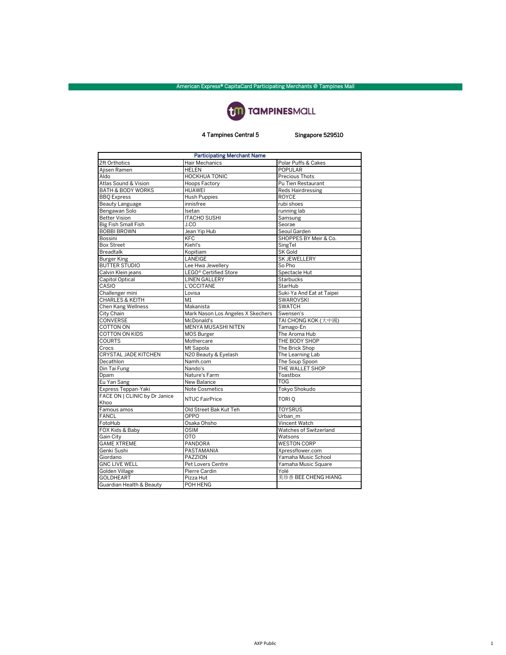

## 4 Tampines Central 5 Singapore 529510

| <b>Participating Merchant Name</b>    |                                   |                           |  |  |
|---------------------------------------|-----------------------------------|---------------------------|--|--|
| 2ft Orthotics                         | Hair Mechanics                    | Polar Puffs & Cakes       |  |  |
| Ajisen Ramen                          | <b>HELEN</b>                      | <b>POPULAR</b>            |  |  |
| Aldo                                  | <b>HOCKHUA TONIC</b>              | Precious Thots            |  |  |
| Atlas Sound & Vision                  | Hoops Factory                     | Pu Tien Restaurant        |  |  |
| <b>BATH &amp; BODY WORKS</b>          | <b>HUAWEI</b>                     | <b>Reds Hairdressing</b>  |  |  |
| <b>BBO</b> Express                    | <b>Hush Puppies</b>               | <b>ROYCE</b>              |  |  |
| Beauty Language                       | innisfree                         | rubi shoes                |  |  |
| Bengawan Solo                         | Isetan                            | running lab               |  |  |
| <b>Better Vision</b>                  | <b>ITACHO SUSHI</b>               | Samsung                   |  |  |
| <b>Big Fish Small Fish</b>            | J.CO                              | Seorae                    |  |  |
| <b>BOBBI BROWN</b>                    | Jean Yip Hub                      | Seoul Garden              |  |  |
| Bossini                               | <b>KFC</b>                        | SHOPPES BY Meir & Co.     |  |  |
| <b>Box Street</b>                     | Kiehl's                           | SingTel                   |  |  |
| <b>Breadtalk</b>                      | Kopitiam                          | <b>SK Gold</b>            |  |  |
| <b>Burger King</b>                    | LANEIGE                           | SK JEWELLERY              |  |  |
| <b>BUTTER STUDIO</b>                  | Lee Hwa Jewellery                 | So Pho                    |  |  |
| Calvin Klein jeans                    | LEGO <sup>®</sup> Certified Store | Spectacle Hut             |  |  |
| Capitol Optical                       | <b>LINEN GALLERY</b>              | Starbucks                 |  |  |
| CASIO                                 | L'OCCITANE                        | StarHub                   |  |  |
| Challenger mini                       | Lovisa                            | Suki-Ya And Eat at Taipei |  |  |
| <b>CHARLES &amp; KEITH</b>            | M <sub>1</sub>                    | SWAROVSKI                 |  |  |
| Chen Kang Wellness                    | Makanista                         | <b>SWATCH</b>             |  |  |
| City Chain                            | Mark Nason Los Angeles X Skechers | Swensen's                 |  |  |
| CONVERSE                              | McDonald's                        | TAI CHONG KOK (大中國)       |  |  |
| COTTON ON                             | MENYA MUSASHI NITEN               | Tamago-En                 |  |  |
| <b>COTTON ON KIDS</b>                 | <b>MOS Burger</b>                 | The Aroma Hub             |  |  |
| <b>COURTS</b>                         | Mothercare                        | THE BODY SHOP             |  |  |
| Crocs                                 | Mt Sapola                         | The Brick Shop            |  |  |
| <b>CRYSTAL JADE KITCHEN</b>           | N20 Beauty & Eyelash              | The Learning Lab          |  |  |
| Decathlon                             | Namh.com                          | The Soup Spoon            |  |  |
| Din Tai Fung                          | Nando's                           | THE WALLET SHOP           |  |  |
| Dpam                                  | Nature's Farm                     | Toastbox                  |  |  |
| Eu Yan Sang                           | New Balance                       | <b>TOG</b>                |  |  |
| Express Teppan-Yaki                   | <b>Note Cosmetics</b>             | Tokyo Shokudo             |  |  |
| FACE ON   CLINIC by Dr Janice<br>Khoo | <b>NTUC FairPrice</b>             | TORI <sub>Q</sub>         |  |  |
| Famous amos                           | Old Street Bak Kut Teh            | <b>TOYSRUS</b>            |  |  |
| <b>FANCL</b>                          | OPPO                              | Urban_m                   |  |  |
| FotoHub                               | Osaka Ohsho                       | Vincent Watch             |  |  |
| FOX Kids & Baby                       | OSIM                              | Watches of Switzerland    |  |  |
| Gain City                             | <b>OTO</b>                        | Watsons                   |  |  |
| <b>GAME XTREME</b>                    | <b>PANDORA</b>                    | <b>WESTON CORP</b>        |  |  |
| Genki Sushi                           | PASTAMANIA                        | Xpressflower.com          |  |  |
| Giordano                              | PAZZION                           | Yamaha Music School       |  |  |
| <b>GNC LIVE WELL</b>                  | Pet Lovers Centre                 | Yamaha Music Square       |  |  |
| <b>Golden Village</b>                 | Pierre Cardin                     | Yolé                      |  |  |
| <b>GOLDHEART</b>                      | Pizza Hut                         | 美珍香 BEE CHENG HIANG       |  |  |
| Guardian Health & Beauty              | POH HENG                          |                           |  |  |
|                                       |                                   |                           |  |  |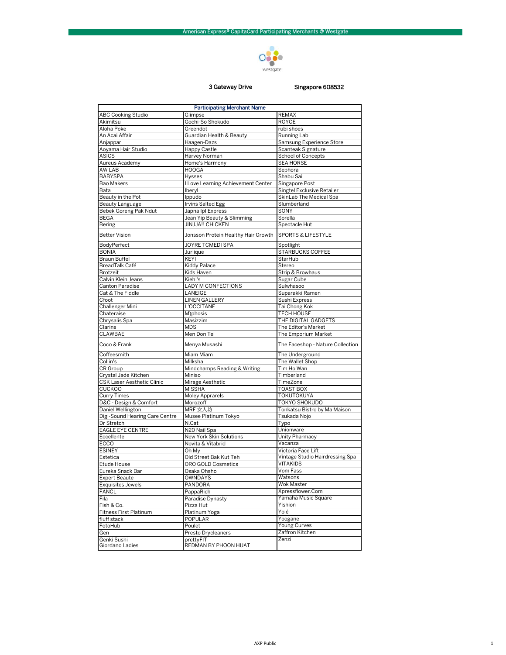

## 3 Gateway Drive

## Singapore 608532

| <b>Participating Merchant Name</b> |                                     |                                  |  |  |
|------------------------------------|-------------------------------------|----------------------------------|--|--|
| <b>ABC Cooking Studio</b>          | Glimpse                             | <b>REMAX</b>                     |  |  |
| Akimitsu                           | Gochi-So Shokudo                    | <b>ROYCE</b>                     |  |  |
| Aloha Poke                         | Greendot                            | rubi shoes                       |  |  |
| An Acai Affair                     | Guardian Health & Beauty            | Running Lab                      |  |  |
| Anjappar                           | Haagen-Dazs                         | Samsung Experience Store         |  |  |
| Aoyama Hair Studio                 | <b>Happy Castle</b>                 | Scanteak Signature               |  |  |
| <b>ASICS</b>                       | Harvey Norman                       | <b>School of Concepts</b>        |  |  |
| Aureus Academy                     | Home's Harmony                      | <b>SEA HORSE</b>                 |  |  |
| AW LAB                             | <b>HOOGA</b>                        | Sephora                          |  |  |
| <b>BABYSPA</b>                     | Hysses                              | Shabu Sai                        |  |  |
| Bao Makers                         | I Love Learning Achievement Center  | Singapore Post                   |  |  |
| Bata                               | Iberyl                              | Singtel Exclusive Retailer       |  |  |
| Beauty in the Pot                  | Ippudo                              | SkinLab The Medical Spa          |  |  |
| Beauty Language                    | <b>Irvins Salted Egg</b>            | Slumberland                      |  |  |
| Bebek Goreng Pak Ndut              | Japna Ipl Express                   | SONY                             |  |  |
| <b>BEGA</b>                        | Jean Yip Beauty & Slimming          | Sorella                          |  |  |
| Bering                             | <b>JINJJA!! CHICKEN</b>             | Spectacle Hut                    |  |  |
| <b>Better Vision</b>               | Jonsson Protein Healthy Hair Growth | <b>SPORTS &amp; LIFESTYLE</b>    |  |  |
| BodyPerfect                        | JOYRE TCMEDI SPA                    | Spotlight                        |  |  |
| <b>BONIA</b>                       | Jurlique                            | STARBUCKS COFFEE                 |  |  |
| <b>Braun Buffel</b>                | KEYI                                | StarHub                          |  |  |
| BreadTalk Café                     | Kiddy Palace                        | Stereo                           |  |  |
| Brotzeit                           | Kids Haven                          | Strip & Browhaus                 |  |  |
| Calvin Klein Jeans                 | Kiehl's                             | Sugar Cube                       |  |  |
| Canton Paradise                    | LADY M CONFECTIONS                  | Sulwhasoo                        |  |  |
| Cat & The Fiddle                   | LANEIGE                             | Suparakki Ramen                  |  |  |
| Cfoot                              | LINEN GALLERY                       | Sushi Express                    |  |  |
| Challenger Mini                    | L'OCCITANE                          | Tai Chong Kok                    |  |  |
| Chateraise                         | M)phosis                            | <b>TECH HOUSE</b>                |  |  |
| Chrysalis Spa                      | Masizzim                            | THE DIGITAL GADGETS              |  |  |
| Clarins                            | <b>MDS</b>                          | The Editor's Market              |  |  |
| CLAWBAE                            | Men Don Tei                         | The Emporium Market              |  |  |
| Coco & Frank                       | Menya Musashi                       | The Faceshop - Nature Collection |  |  |
| Coffeesmith                        | Miam Miam                           | The Underground                  |  |  |
| Collin's                           | Milksha                             | The Wallet Shop                  |  |  |
| CR Group                           | Mindchamps Reading & Writing        | Tim Ho Wan                       |  |  |
| Crystal Jade Kitchen               | Miniso                              | Timberland                       |  |  |
| CSK Laser Aesthetic Clinic         | Mirage Aesthetic                    | TimeZone                         |  |  |
| <b>CUCKOO</b>                      | <b>MISSHA</b>                       | <b>TOAST BOX</b>                 |  |  |
| <b>Curry Times</b>                 | Moley Apprarels                     | TOKUTOKUYA                       |  |  |
| D&C - Design & Comfort             | Morozoff                            | <b>TOKYO SHOKUDO</b>             |  |  |
| Daniel Wellington                  | MRF 女人坊                             | Tonkatsu Bistro by Ma Maison     |  |  |
| Digi-Sound Hearing Care Centre     | Musee Platinum Tokyo                | Tsukada Nojo                     |  |  |
| Dr Stretch                         | N.Cat                               | Typo                             |  |  |
| <b>EAGLE EYE CENTRE</b>            | N20 Nail Spa                        | Unionware                        |  |  |
| Eccellente                         | New York Skin Solutions             | Unity Pharmacy                   |  |  |
| ECCO                               | Novita & Vitabrid                   | Vacanza                          |  |  |
| <b>ESINEY</b>                      | Oh My                               | Victoria Face Lift               |  |  |
| Estetica                           | Old Street Bak Kut Teh              | Vintage Studio Hairdressing Spa  |  |  |
| Etude House                        | ORO GOLD Cosmetics                  | <b>VITAKIDS</b>                  |  |  |
| Eureka Snack Bar                   | Osaka Ohsho                         | Vom Fass                         |  |  |
| <b>Expert Beaute</b>               | OWNDAYS                             | Watsons                          |  |  |
| <b>Exquisites Jewels</b>           | PANDORA                             | Wok Master                       |  |  |
| <b>FANCL</b>                       | PappaRich                           | Xpressflower.Com                 |  |  |
| Fila                               | Paradise Dynasty                    | Yamaha Music Square              |  |  |
| Fish & Co.                         | Pizza Hut                           | Yishion                          |  |  |
| Fitness First Platinum             | Platinum Yoga                       | Yolé                             |  |  |
| fluff stack                        | POPULAR                             | Yoogane                          |  |  |
| FotoHub                            | Poulet                              | <b>Young Curves</b>              |  |  |
| Gen                                | Presto Drycleaners                  | Zaffron Kitchen                  |  |  |
| Genki Sushi                        | prettyFIT                           | Zenzi                            |  |  |
| Giordano Ladies                    | REDMAN BY PHOON HUAT                |                                  |  |  |
|                                    |                                     |                                  |  |  |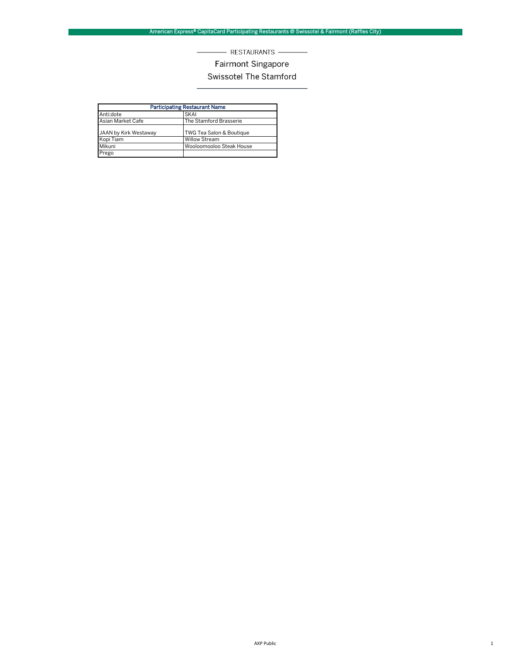## - RESTAURANTS -

## Fairmont Singapore

## Swissotel The Stamford

| <b>Participating Restaurant Name</b> |                          |  |
|--------------------------------------|--------------------------|--|
| Anti:dote                            | <b>SKAI</b>              |  |
| Asian Market Cafe                    | The Stamford Brasserie   |  |
| JAAN by Kirk Westaway                | TWG Tea Salon & Boutique |  |
| Kopi Tiam                            | <b>Willow Stream</b>     |  |
| Mikuni                               | Wooloomooloo Steak House |  |
| Prego                                |                          |  |

 $\sim$